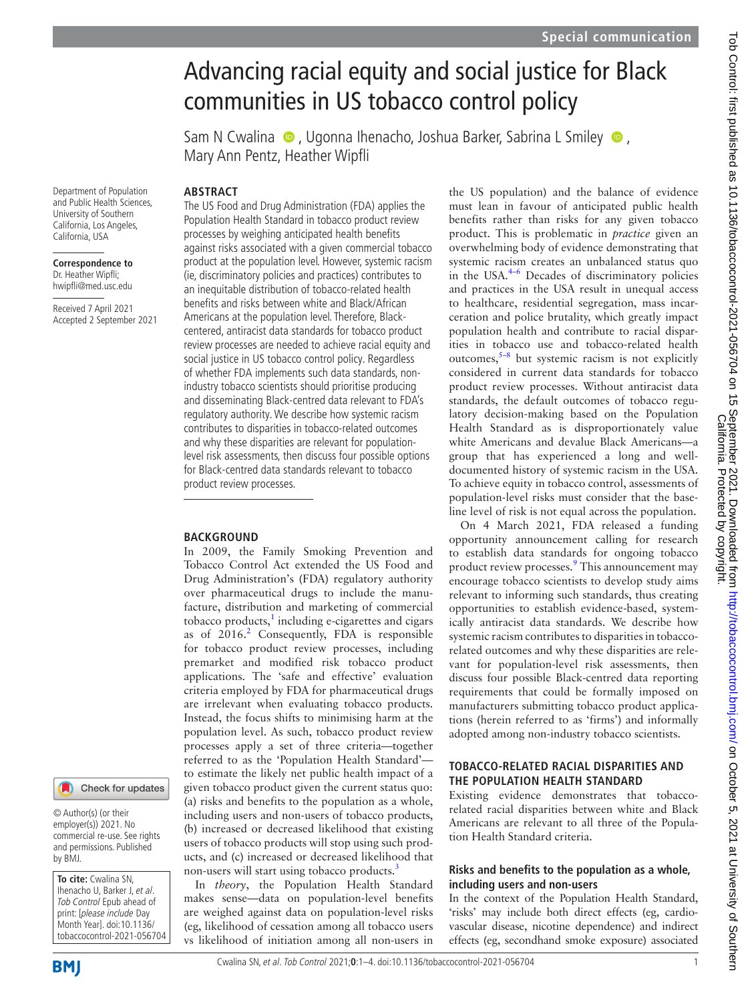# Advancing racial equity and social justice for Black communities in US tobacco control policy

Sam N Cwalina  $\bullet$ , Ugonna Ihenacho, Joshua Barker, Sabrina L Smiley  $\bullet$ , Mary Ann Pentz, Heather Wipfli

**ABSTRACT**

Department of Population and Public Health Sciences, University of Southern California, Los Angeles, California, USA

**Correspondence to** Dr. Heather Wipfli; hwipfli@med.usc.edu

Received 7 April 2021 Accepted 2 September 2021

# Check for updates

© Author(s) (or their employer(s)) 2021. No commercial re-use. See rights and permissions. Published by BMJ.

**To cite:** Cwalina SN, Ihenacho U, Barker J, et al. Tob Control Epub ahead of print: [please include Day Month Year]. doi:10.1136/ tobaccocontrol-2021-056704 The US Food and Drug Administration (FDA) applies the Population Health Standard in tobacco product review processes by weighing anticipated health benefits against risks associated with a given commercial tobacco product at the population level. However, systemic racism (ie, discriminatory policies and practices) contributes to an inequitable distribution of tobacco-related health benefits and risks between white and Black/African Americans at the population level. Therefore, Blackcentered, antiracist data standards for tobacco product review processes are needed to achieve racial equity and social justice in US tobacco control policy. Regardless of whether FDA implements such data standards, nonindustry tobacco scientists should prioritise producing and disseminating Black-centred data relevant to FDA's regulatory authority. We describe how systemic racism contributes to disparities in tobacco-related outcomes and why these disparities are relevant for populationlevel risk assessments, then discuss four possible options for Black-centred data standards relevant to tobacco product review processes.

# **BACKGROUND**

In 2009, the Family Smoking Prevention and Tobacco Control Act extended the US Food and Drug Administration's (FDA) regulatory authority over pharmaceutical drugs to include the manufacture, distribution and marketing of commercial tobacco products, $\frac{1}{2}$  $\frac{1}{2}$  $\frac{1}{2}$  including e-cigarettes and cigars as of [2](#page-3-1)016.<sup>2</sup> Consequently, FDA is responsible for tobacco product review processes, including premarket and modified risk tobacco product applications. The 'safe and effective' evaluation criteria employed by FDA for pharmaceutical drugs are irrelevant when evaluating tobacco products. Instead, the focus shifts to minimising harm at the population level. As such, tobacco product review processes apply a set of three criteria—together referred to as the 'Population Health Standard' to estimate the likely net public health impact of a given tobacco product given the current status quo: (a) risks and benefits to the population as a whole, including users and non-users of tobacco products, (b) increased or decreased likelihood that existing users of tobacco products will stop using such products, and (c) increased or decreased likelihood that non-users will start using tobacco products.<sup>3</sup>

In *theory*, the Population Health Standard makes sense—data on population-level benefits are weighed against data on population-level risks (eg, likelihood of cessation among all tobacco users vs likelihood of initiation among all non-users in the US population) and the balance of evidence must lean in favour of anticipated public health benefits rather than risks for any given tobacco product. This is problematic in *practice* given an overwhelming body of evidence demonstrating that systemic racism creates an unbalanced status quo in the USA.[4–6](#page-3-3) Decades of discriminatory policies and practices in the USA result in unequal access to healthcare, residential segregation, mass incarceration and police brutality, which greatly impact population health and contribute to racial disparities in tobacco use and tobacco-related health outcomes, $5-8$  but systemic racism is not explicitly considered in current data standards for tobacco product review processes. Without antiracist data standards, the default outcomes of tobacco regulatory decision-making based on the Population Health Standard as is disproportionately value white Americans and devalue Black Americans—a group that has experienced a long and welldocumented history of systemic racism in the USA. To achieve equity in tobacco control, assessments of population-level risks must consider that the baseline level of risk is not equal across the population.

On 4 March 2021, FDA released a funding opportunity announcement calling for research to establish data standards for ongoing tobacco product review processes.<sup>[9](#page-3-5)</sup> This announcement may encourage tobacco scientists to develop study aims relevant to informing such standards, thus creating opportunities to establish evidence-based, systemically antiracist data standards. We describe how systemic racism contributes to disparities in tobaccorelated outcomes and why these disparities are relevant for population-level risk assessments, then discuss four possible Black-centred data reporting requirements that could be formally imposed on manufacturers submitting tobacco product applications (herein referred to as 'firms') and informally adopted among non-industry tobacco scientists.

# **TOBACCO-RELATED RACIAL DISPARITIES AND THE POPULATION HEALTH STANDARD**

Existing evidence demonstrates that tobaccorelated racial disparities between white and Black Americans are relevant to all three of the Population Health Standard criteria.

# **Risks and benefits to the population as a whole, including users and non-users**

In the context of the Population Health Standard, 'risks' may include both direct effects (eg, cardiovascular disease, nicotine dependence) and indirect effects (eg, secondhand smoke exposure) associated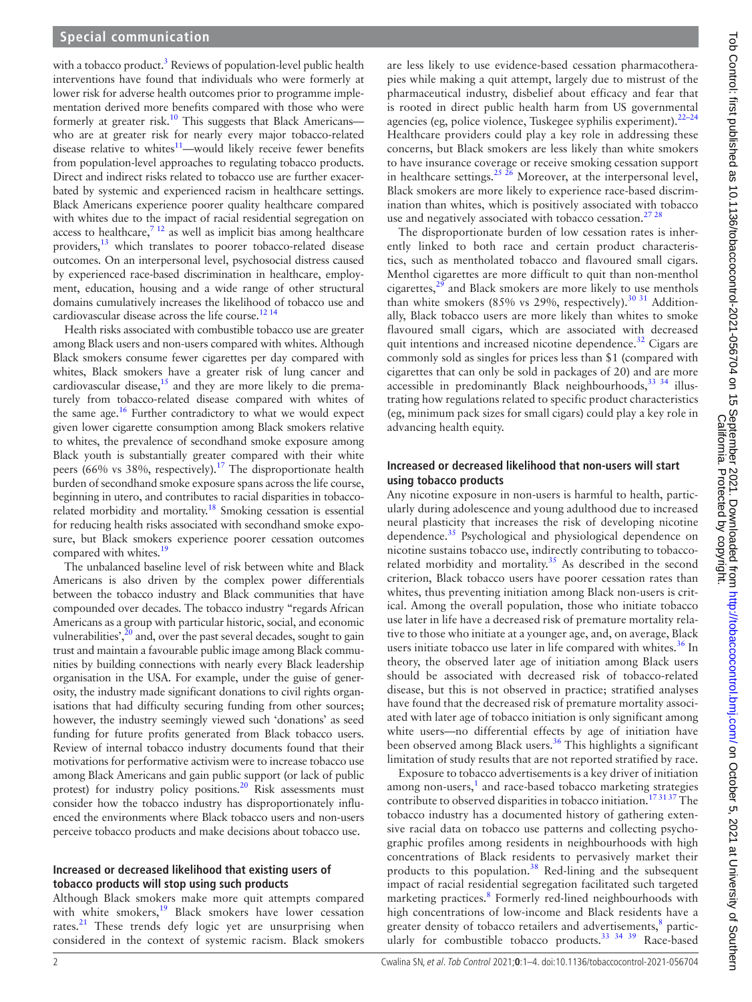with a tobacco product.<sup>3</sup> Reviews of population-level public health interventions have found that individuals who were formerly at lower risk for adverse health outcomes prior to programme implementation derived more benefits compared with those who were formerly at greater risk.<sup>10</sup> This suggests that Black Americanswho are at greater risk for nearly every major tobacco-related disease relative to whites $11$ —would likely receive fewer benefits from population-level approaches to regulating tobacco products. Direct and indirect risks related to tobacco use are further exacerbated by systemic and experienced racism in healthcare settings. Black Americans experience poorer quality healthcare compared with whites due to the impact of racial residential segregation on access to healthcare,<sup>7 12</sup> as well as implicit bias among healthcare providers,<sup>[13](#page-3-9)</sup> which translates to poorer tobacco-related disease outcomes. On an interpersonal level, psychosocial distress caused by experienced race-based discrimination in healthcare, employment, education, housing and a wide range of other structural domains cumulatively increases the likelihood of tobacco use and cardiovascular disease across the life course.<sup>12 14</sup>

Health risks associated with combustible tobacco use are greater among Black users and non-users compared with whites. Although Black smokers consume fewer cigarettes per day compared with whites, Black smokers have a greater risk of lung cancer and cardiovascular disease, $15$  and they are more likely to die prematurely from tobacco-related disease compared with whites of the same age.<sup>16</sup> Further contradictory to what we would expect given lower cigarette consumption among Black smokers relative to whites, the prevalence of secondhand smoke exposure among Black youth is substantially greater compared with their white peers (66% vs 38%, respectively).<sup>[17](#page-3-13)</sup> The disproportionate health burden of secondhand smoke exposure spans across the life course, beginning in utero, and contributes to racial disparities in tobacco-related morbidity and mortality.<sup>[18](#page-3-14)</sup> Smoking cessation is essential for reducing health risks associated with secondhand smoke exposure, but Black smokers experience poorer cessation outcomes compared with whites.<sup>19</sup>

The unbalanced baseline level of risk between white and Black Americans is also driven by the complex power differentials between the tobacco industry and Black communities that have compounded over decades. The tobacco industry "regards African Americans as a group with particular historic, social, and economic vulnerabilities', $2^0$  and, over the past several decades, sought to gain trust and maintain a favourable public image among Black communities by building connections with nearly every Black leadership organisation in the USA. For example, under the guise of generosity, the industry made significant donations to civil rights organisations that had difficulty securing funding from other sources; however, the industry seemingly viewed such 'donations' as seed funding for future profits generated from Black tobacco users. Review of internal tobacco industry documents found that their motivations for performative activism were to increase tobacco use among Black Americans and gain public support (or lack of public protest) for industry policy positions.<sup>20</sup> Risk assessments must consider how the tobacco industry has disproportionately influenced the environments where Black tobacco users and non-users perceive tobacco products and make decisions about tobacco use.

### **Increased or decreased likelihood that existing users of tobacco products will stop using such products**

Although Black smokers make more quit attempts compared with white smokers,<sup>19</sup> Black smokers have lower cessation rates.<sup>[21](#page-3-17)</sup> These trends defy logic yet are unsurprising when considered in the context of systemic racism. Black smokers

are less likely to use evidence-based cessation pharmacotherapies while making a quit attempt, largely due to mistrust of the pharmaceutical industry, disbelief about efficacy and fear that is rooted in direct public health harm from US governmental agencies (eg, police violence, Tuskegee syphilis experiment).<sup>22-24</sup> Healthcare providers could play a key role in addressing these concerns, but Black smokers are less likely than white smokers to have insurance coverage or receive smoking cessation support in healthcare settings.<sup>25</sup>  $\frac{25}{6}$  Moreover, at the interpersonal level, Black smokers are more likely to experience race-based discrimination than whites, which is positively associated with tobacco use and negatively associated with tobacco cessation.<sup>27 28</sup>

The disproportionate burden of low cessation rates is inherently linked to both race and certain product characteristics, such as mentholated tobacco and flavoured small cigars. Menthol cigarettes are more difficult to quit than non-menthol cigarettes, $2<sup>9</sup>$  and Black smokers are more likely to use menthols than white smokers (85% vs 29%, respectively).<sup>30 31</sup> Additionally, Black tobacco users are more likely than whites to smoke flavoured small cigars, which are associated with decreased quit intentions and increased nicotine dependence. $32$  Cigars are commonly sold as singles for prices less than \$1 (compared with cigarettes that can only be sold in packages of 20) and are more accessible in predominantly Black neighbourhoods,  $33 \times 34$  illustrating how regulations related to specific product characteristics (eg, minimum pack sizes for small cigars) could play a key role in advancing health equity.

# **Increased or decreased likelihood that non-users will start using tobacco products**

Any nicotine exposure in non-users is harmful to health, particularly during adolescence and young adulthood due to increased neural plasticity that increases the risk of developing nicotine dependence.<sup>35</sup> Psychological and physiological dependence on nicotine sustains tobacco use, indirectly contributing to tobacco-related morbidity and mortality.<sup>[35](#page-3-25)</sup> As described in the second criterion, Black tobacco users have poorer cessation rates than whites, thus preventing initiation among Black non-users is critical. Among the overall population, those who initiate tobacco use later in life have a decreased risk of premature mortality relative to those who initiate at a younger age, and, on average, Black users initiate tobacco use later in life compared with whites.<sup>36</sup> In theory, the observed later age of initiation among Black users should be associated with decreased risk of tobacco-related disease, but this is not observed in practice; stratified analyses have found that the decreased risk of premature mortality associated with later age of tobacco initiation is only significant among white users—no differential effects by age of initiation have been observed among Black users. $36$  This highlights a significant limitation of study results that are not reported stratified by race.

Exposure to tobacco advertisements is a key driver of initiation among non-users, $<sup>1</sup>$  $<sup>1</sup>$  $<sup>1</sup>$  and race-based tobacco marketing strategies</sup> contribute to observed disparities in tobacco initiation.<sup>173137</sup> The tobacco industry has a documented history of gathering extensive racial data on tobacco use patterns and collecting psychographic profiles among residents in neighbourhoods with high concentrations of Black residents to pervasively market their products to this population.<sup>38</sup> Red-lining and the subsequent impact of racial residential segregation facilitated such targeted marketing practices.<sup>[8](#page-3-28)</sup> Formerly red-lined neighbourhoods with high concentrations of low-income and Black residents have a greater density of tobacco retailers and advertisements,<sup>[8](#page-3-28)</sup> partic-ularly for combustible tobacco products.<sup>[33 34 39](#page-3-24)</sup> Race-based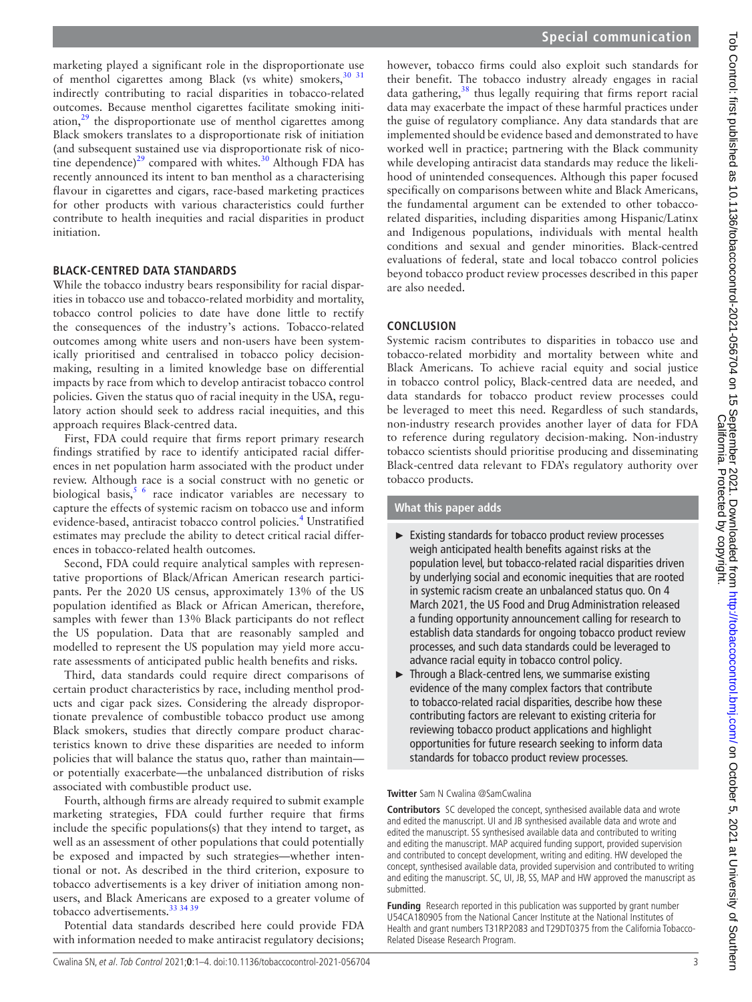marketing played a significant role in the disproportionate use of menthol cigarettes among Black (vs white) smokers,<sup>[30 31](#page-3-22)</sup> indirectly contributing to racial disparities in tobacco-related outcomes. Because menthol cigarettes facilitate smoking initiation, $29$  the disproportionate use of menthol cigarettes among Black smokers translates to a disproportionate risk of initiation (and subsequent sustained use via disproportionate risk of nico-tine dependence)<sup>29</sup> compared with whites.<sup>[30](#page-3-22)</sup> Although FDA has recently announced its intent to ban menthol as a characterising flavour in cigarettes and cigars, race-based marketing practices for other products with various characteristics could further contribute to health inequities and racial disparities in product initiation.

# **BLACK-CENTRED DATA STANDARDS**

While the tobacco industry bears responsibility for racial disparities in tobacco use and tobacco-related morbidity and mortality, tobacco control policies to date have done little to rectify the consequences of the industry's actions. Tobacco-related outcomes among white users and non-users have been systemically prioritised and centralised in tobacco policy decisionmaking, resulting in a limited knowledge base on differential impacts by race from which to develop antiracist tobacco control policies. Given the status quo of racial inequity in the USA, regulatory action should seek to address racial inequities, and this approach requires Black-centred data.

First, FDA could require that firms report primary research findings stratified by race to identify anticipated racial differences in net population harm associated with the product under review. Although race is a social construct with no genetic or biological basis,<sup>5 6</sup> race indicator variables are necessary to capture the effects of systemic racism on tobacco use and inform evidence-based, antiracist tobacco control policies.<sup>4</sup> Unstratified estimates may preclude the ability to detect critical racial differences in tobacco-related health outcomes.

Second, FDA could require analytical samples with representative proportions of Black/African American research participants. Per the 2020 US census, approximately 13% of the US population identified as Black or African American, therefore, samples with fewer than 13% Black participants do not reflect the US population. Data that are reasonably sampled and modelled to represent the US population may yield more accurate assessments of anticipated public health benefits and risks.

Third, data standards could require direct comparisons of certain product characteristics by race, including menthol products and cigar pack sizes. Considering the already disproportionate prevalence of combustible tobacco product use among Black smokers, studies that directly compare product characteristics known to drive these disparities are needed to inform policies that will balance the status quo, rather than maintain or potentially exacerbate—the unbalanced distribution of risks associated with combustible product use.

Fourth, although firms are already required to submit example marketing strategies, FDA could further require that firms include the specific populations(s) that they intend to target, as well as an assessment of other populations that could potentially be exposed and impacted by such strategies—whether intentional or not. As described in the third criterion, exposure to tobacco advertisements is a key driver of initiation among nonusers, and Black Americans are exposed to a greater volume of tobacco advertisements.<sup>33</sup> 34 39

Potential data standards described here could provide FDA with information needed to make antiracist regulatory decisions;

however, tobacco firms could also exploit such standards for their benefit. The tobacco industry already engages in racial data gathering,<sup>38</sup> thus legally requiring that firms report racial data may exacerbate the impact of these harmful practices under the guise of regulatory compliance. Any data standards that are implemented should be evidence based and demonstrated to have worked well in practice; partnering with the Black community while developing antiracist data standards may reduce the likelihood of unintended consequences. Although this paper focused specifically on comparisons between white and Black Americans, the fundamental argument can be extended to other tobaccorelated disparities, including disparities among Hispanic/Latinx and Indigenous populations, individuals with mental health conditions and sexual and gender minorities. Black-centred evaluations of federal, state and local tobacco control policies beyond tobacco product review processes described in this paper are also needed.

# **CONCLUSION**

Systemic racism contributes to disparities in tobacco use and tobacco-related morbidity and mortality between white and Black Americans. To achieve racial equity and social justice in tobacco control policy, Black-centred data are needed, and data standards for tobacco product review processes could be leveraged to meet this need. Regardless of such standards, non-industry research provides another layer of data for FDA to reference during regulatory decision-making. Non-industry tobacco scientists should prioritise producing and disseminating Black-centred data relevant to FDA's regulatory authority over tobacco products.

# **What this paper adds**

- ► Existing standards for tobacco product review processes weigh anticipated health benefits against risks at the population level, but tobacco-related racial disparities driven by underlying social and economic inequities that are rooted in systemic racism create an unbalanced status quo. On 4 March 2021, the US Food and Drug Administration released a funding opportunity announcement calling for research to establish data standards for ongoing tobacco product review processes, and such data standards could be leveraged to advance racial equity in tobacco control policy.
- $\blacktriangleright$  Through a Black-centred lens, we summarise existing evidence of the many complex factors that contribute to tobacco-related racial disparities, describe how these contributing factors are relevant to existing criteria for reviewing tobacco product applications and highlight opportunities for future research seeking to inform data standards for tobacco product review processes.

### **Twitter** Sam N Cwalina [@SamCwalina](https://twitter.com/SamCwalina)

**Contributors** SC developed the concept, synthesised available data and wrote and edited the manuscript. UI and JB synthesised available data and wrote and edited the manuscript. SS synthesised available data and contributed to writing and editing the manuscript. MAP acquired funding support, provided supervision and contributed to concept development, writing and editing. HW developed the concept, synthesised available data, provided supervision and contributed to writing and editing the manuscript. SC, UI, JB, SS, MAP and HW approved the manuscript as submitted.

**Funding** Research reported in this publication was supported by grant number U54CA180905 from the National Cancer Institute at the National Institutes of Health and grant numbers T31RP2083 and T29DT0375 from the California Tobacco-Related Disease Research Program.